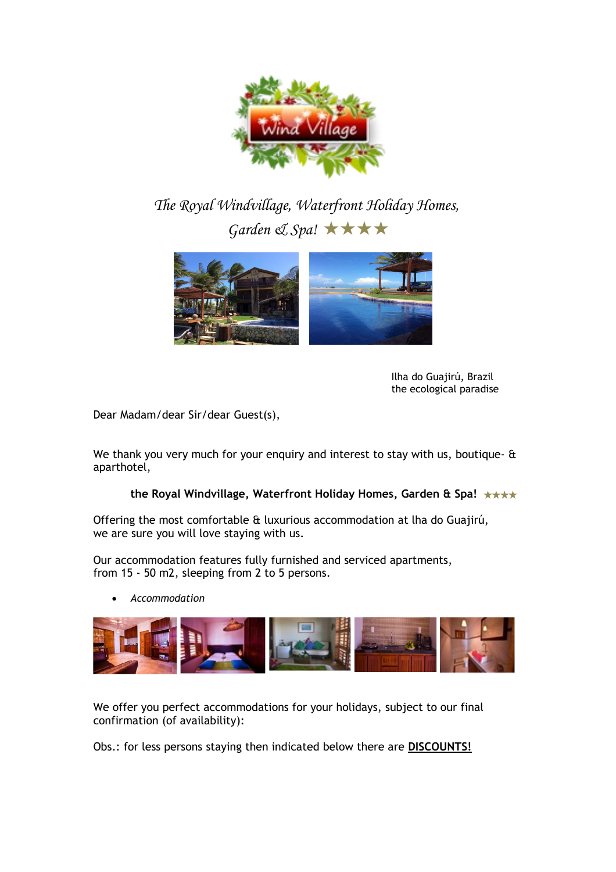

*The Royal Windvillage, Waterfront Holiday Homes, Garden & Spa!* ★★★★



Ilha do Guajirú, Brazil the ecological paradise

Dear Madam/dear Sir/dear Guest(s),

We thank you very much for your enquiry and interest to stay with us, boutique- & aparthotel,

## **the Royal Windvillage, Waterfront Holiday Homes, Garden & Spa!** ★★★★

Offering the most comfortable & luxurious accommodation at lha do Guajirú, we are sure you will love staying with us.

Our accommodation features fully furnished and serviced apartments, from 15 - 50 m2, sleeping from 2 to 5 persons.

*Accommodation* 



We offer you perfect accommodations for your holidays, subject to our final confirmation (of availability):

Obs.: for less persons staying then indicated below there are **DISCOUNTS!**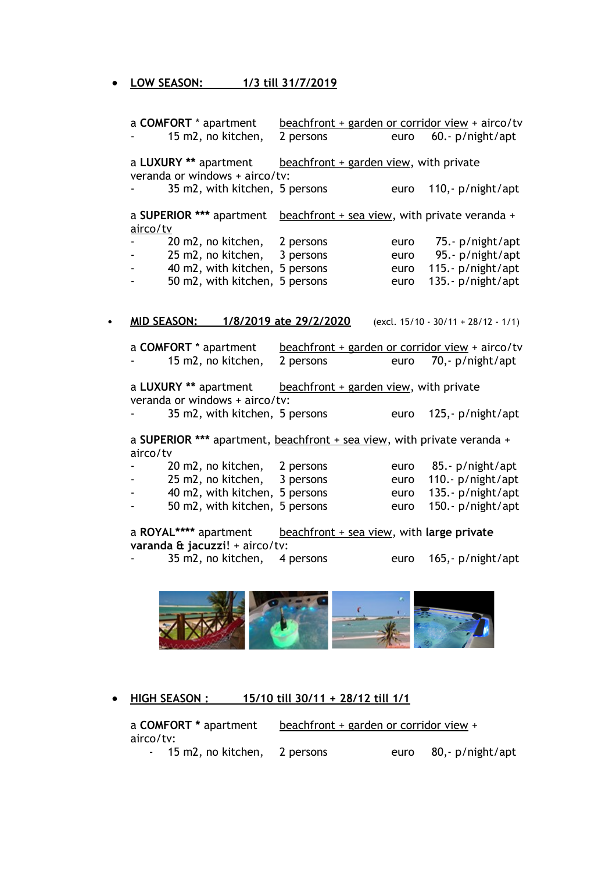**LOW SEASON: 1/3 till 31/7/2019**

| a COMFORT * apartment                                                               |                                | beachfront + garden or corridor view + airco/tv |      |                                        |
|-------------------------------------------------------------------------------------|--------------------------------|-------------------------------------------------|------|----------------------------------------|
| 15 m2, no kitchen,                                                                  |                                | 2 persons                                       | euro | $60.-p/night/apt$                      |
| a LUXURY ** apartment<br>veranda or windows + airco/tv:                             |                                | beachfront + garden view, with private          |      |                                        |
|                                                                                     | 35 m2, with kitchen, 5 persons |                                                 | euro | 110, - $p/$ night/apt                  |
| a SUPERIOR *** apartment<br>airco/tv                                                |                                | beachfront + sea view, with private veranda +   |      |                                        |
|                                                                                     | 20 m2, no kitchen, 2 persons   |                                                 | euro | 75.- p/night/apt                       |
|                                                                                     | 25 m2, no kitchen, 3 persons   |                                                 |      | euro 95.- p/night/apt                  |
| <b>All Contracts</b>                                                                | 40 m2, with kitchen, 5 persons |                                                 | euro | 115.- p/night/apt                      |
| $\blacksquare$                                                                      | 50 m2, with kitchen, 5 persons |                                                 | euro | 135.- p/night/apt                      |
| <b>MID SEASON:</b>                                                                  | 1/8/2019 ate 29/2/2020         |                                                 |      | (excl. $15/10 - 30/11 + 28/12 - 1/1$ ) |
| a COMFORT * apartment                                                               |                                | beachfront + garden or corridor view + airco/tv |      |                                        |
| 15 m2, no kitchen,                                                                  |                                | 2 persons                                       |      | euro 70,- p/night/apt                  |
| a LUXURY ** apartment<br>veranda or windows + airco/tv:                             |                                | beachfront + garden view, with private          |      |                                        |
|                                                                                     | 35 m2, with kitchen, 5 persons |                                                 | euro | 125, $- p /$ night/apt                 |
| a SUPERIOR *** apartment, beachfront + sea view, with private veranda +<br>airco/tv |                                |                                                 |      |                                        |
| 20 m2, no kitchen,                                                                  |                                | 2 persons                                       | euro | 85.- p/night/apt                       |
| 25 m2, no kitchen,                                                                  |                                | 3 persons                                       | euro | 110.- p/night/apt                      |
|                                                                                     | 40 m2, with kitchen, 5 persons |                                                 | euro | 135.- p/night/apt                      |
|                                                                                     | 50 m2, with kitchen, 5 persons |                                                 | euro | 150.- $p/$ night/apt                   |
| a ROYAL**** apartment<br>varanda & jacuzzi! + airco/tv:                             |                                | beachfront + sea view, with large private       |      |                                        |
| 35 m2, no kitchen,                                                                  |                                | 4 persons                                       | euro | 165, p/night/apt                       |



 **HIGH SEASON : 15/10 till 30/11 + 28/12 till 1/1**

|           | a COMFORT * apartment          | beachfront + garden or corridor view + |      |                  |
|-----------|--------------------------------|----------------------------------------|------|------------------|
| airco/tv: |                                |                                        |      |                  |
|           | - 15 m2, no kitchen, 2 persons |                                        | euro | 80,- p/night/apt |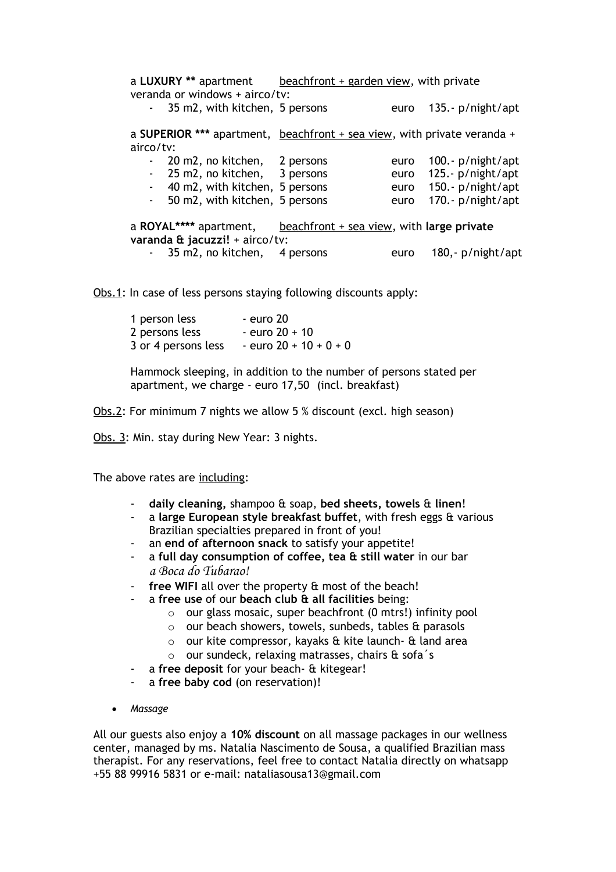| veranda or windows + airco/tv: |                                                                            | a LUXURY ** apartment beachfront + garden view, with private |      |                        |
|--------------------------------|----------------------------------------------------------------------------|--------------------------------------------------------------|------|------------------------|
|                                | - 35 m2, with kitchen, 5 persons                                           |                                                              | euro | 135.- $p/$ night/apt   |
|                                | a SUPERIOR *** apartment, $beachfront + sea view$ , with private veranda + |                                                              |      |                        |
| airco/tv:                      |                                                                            |                                                              |      |                        |
|                                | - 20 m2, no kitchen, 2 persons                                             |                                                              | euro | 100.- $p/$ night/apt   |
|                                | - 25 m2, no kitchen, 3 persons                                             |                                                              |      | euro 125.- p/night/apt |
|                                | - 40 m2, with kitchen, 5 persons                                           |                                                              |      | euro 150.- p/night/apt |
|                                | - 50 m2, with kitchen, 5 persons                                           |                                                              | euro | 170.- $p/$ night/apt   |
|                                | a ROYAL**** apartment, $\qquad$ beachfront + sea view, with large private  |                                                              |      |                        |
| varanda & jacuzzi! + airco/tv: |                                                                            |                                                              |      |                        |
|                                | - 35 m2, no kitchen, 4 persons                                             |                                                              | euro | 180,- p/night/apt      |

Obs.1: In case of less persons staying following discounts apply:

| 1 person less       | - euro 20                |
|---------------------|--------------------------|
| 2 persons less      | $-$ euro 20 $+$ 10       |
| 3 or 4 persons less | - euro $20 + 10 + 0 + 0$ |

Hammock sleeping, in addition to the number of persons stated per apartment, we charge - euro 17,50 (incl. breakfast)

Obs.2: For minimum 7 nights we allow 5 % discount (excl. high season)

Obs. 3: Min. stay during New Year: 3 nights.

The above rates are including:

- **daily cleaning,** shampoo & soap, **bed sheets, towels** & **linen**!
- a **large European style breakfast buffet**, with fresh eggs & various Brazilian specialties prepared in front of you!
- an **end of afternoon snack** to satisfy your appetite!
- a **full day consumption of coffee, tea & still water** in our bar *a Boca do Tubarao!*
- free WIFI all over the property & most of the beach!
- a **free use** of our **beach club & all facilities** being:
	- o our glass mosaic, super beachfront (0 mtrs!) infinity pool
	- o our beach showers, towels, sunbeds, tables & parasols
	- o our kite compressor, kayaks & kite launch- & land area
	- o our sundeck, relaxing matrasses, chairs & sofa´s
- a **free deposit** for your beach- & kitegear!
- a **free baby cod** (on reservation)!
- *Massage*

All our guests also enjoy a **10% discount** on all massage packages in our wellness center, managed by ms. Natalia Nascimento de Sousa, a qualified Brazilian mass therapist. For any reservations, feel free to contact Natalia directly on whatsapp +55 88 99916 5831 or e-mail: nataliasousa13@gmail.com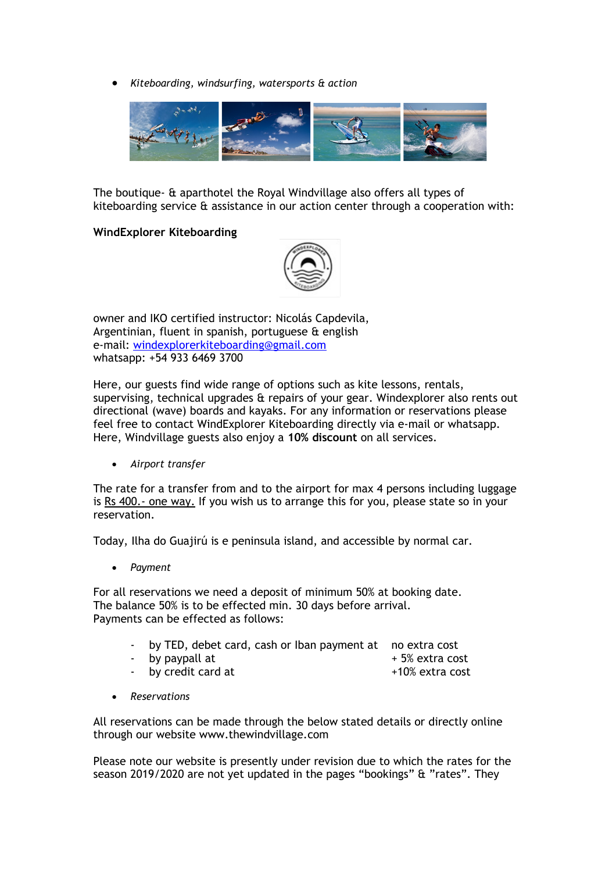*Kiteboarding, windsurfing, watersports & action*



The boutique- & aparthotel the Royal Windvillage also offers all types of kiteboarding service & assistance in our action center through a cooperation with:

## **WindExplorer Kiteboarding**



owner and IKO certified instructor: Nicolás Capdevila, Argentinian, fluent in spanish, portuguese & english e-mail: [windexplorerkiteboarding@gmail.com](mailto:windexplorerkiteboarding@gmail.com) whatsapp: +54 933 6469 3700

Here, our guests find wide range of options such as kite lessons, rentals, supervising, technical upgrades & repairs of your gear. Windexplorer also rents out directional (wave) boards and kayaks. For any information or reservations please feel free to contact WindExplorer Kiteboarding directly via e-mail or whatsapp. Here, Windvillage guests also enjoy a **10% discount** on all services.

*Airport transfer*

The rate for a transfer from and to the airport for max 4 persons including luggage is Rs 400.- one way. If you wish us to arrange this for you, please state so in your reservation.

Today, Ilha do Guajirú is e peninsula island, and accessible by normal car.

*Payment* 

For all reservations we need a deposit of minimum 50% at booking date. The balance 50% is to be effected min. 30 days before arrival. Payments can be effected as follows:

- by TED, debet card, cash or Iban payment at no extra cost
- by paypall at  $+ 5\%$  extra cost
	-
- by credit card at  $+10\%$  extra cost
- *Reservations*

All reservations can be made through the below stated details or directly online through our website www.thewindvillage.com

Please note our website is presently under revision due to which the rates for the season 2019/2020 are not yet updated in the pages "bookings" & "rates". They